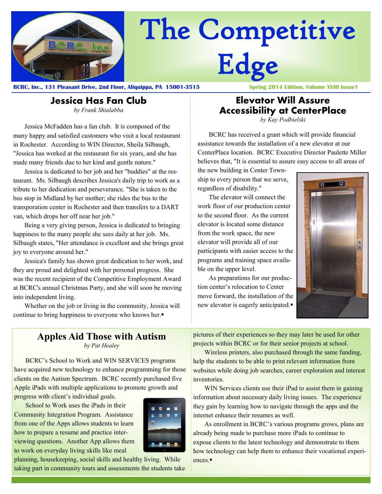

# The Competitive Edge

**BCRC, Inc., 131 Pleasant Drive, 2nd Floor, Aliquippa, PA 15001-3515 Spring 2014 Edition, Volume XVIII Issue1**

#### **Jessica Has Fan Club** *by Frank Shialabba*

Jessica McFadden has a fan club. It is composed of the many happy and satisfied customers who visit a local restaurant in Rochester. According to WIN Director, Sheila Silbaugh, "Jessica has worked at the restaurant for six years, and she has made many friends due to her kind and gentle nature."

Jessica is dedicated to her job and her "buddies" at the restaurant. Ms. Silbaugh describes Jessica's daily trip to work as a tribute to her dedication and perseverance. "She is taken to the bus stop in Midland by her mother; she rides the bus to the transporation center in Rochester and then transfers to a DART van, which drops her off near her job."

Being a very giving person, Jessica is dedicated to bringing happiness to the many people she sees daily at her job. Ms. Silbaugh states, "Her attendance is excellent and she brings great joy to everyone around her."

Jessica's family has shown great dedication to her work, and they are proud and delighted with her personal progress. She was the recent recipient of the Competitive Employment Award at BCRC's annual Christmas Party, and she will soon be moving into independent living.

Whether on the job or living in the community, Jessica will continue to bring happiness to everyone who knows her.

#### **Elevator Will Assure Accessibility at CenterPlace**

*by Kay Podbielski*

BCRC has received a grant which will provide financial assistance towards the installation of a new elevator at our CenterPlace location. BCRC Executive Director Paulette Miller believes that, "It is essential to assure easy access to all areas of

the new building in Center Township to every person that we serve, regardless of disability."

The elevator will connect the work floor of our production center to the second floor. As the current elevator is located some distance from the work space, the new elevator will provide all of our participants with easier access to the programs and training space available on the upper level.

As preparations for our production center's relocation to Center move forward, the installation of the new elevator is eagerly anticipated.



## **Apples Aid Those with Autism**

*by Pat Healey*

BCRC's School to Work and WIN SERVICES programs have acquired new technology to enhance programming for those clients on the Autism Spectrum. BCRC recently purchased five Apple iPads with multiple applications to promote growth and

progress with client's individual goals.

School to Work uses the iPads in their Community Integration Program. Assistance from one of the Apps allows students to learn how to prepare a resume and practice interviewing questions. Another App allows them to work on everyday living skills like meal



planning, housekeeping, social skills and healthy living. While taking part in community tours and assessments the students take pictures of their experiences so they may later be used for other projects within BCRC or for their senior projects at school.

Wireless printers, also purchased through the same funding, help the students to be able to print relevant information from websites while doing job searches, career exploration and interest inventories.

WIN Services clients use their iPad to assist them in gaining information about necessary daily living issues. The experience they gain by learning how to navigate through the apps and the internet enhance their resumes as well.

As enrollment in BCRC's various programs grows, plans are already being made to purchase more iPads to continue to expose clients to the latest technology and demonstrate to them how technology can help them to enhance their vocational experiences.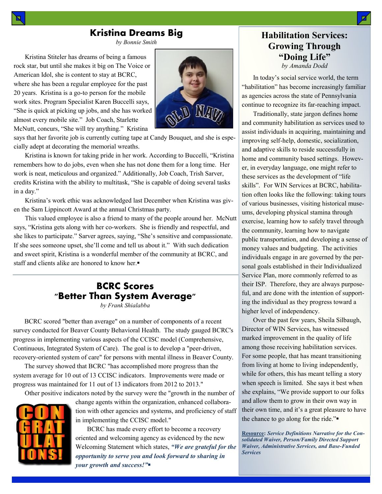### **Kristina Dreams Big**

*by Bonnie Smith*

Kristina Stiteler has dreams of being a famous rock star, but until she makes it big on The Voice or American Idol, she is content to stay at BCRC, where she has been a regular employee for the past 20 years. Kristina is a go-to person for the mobile work sites. Program Specialist Karen Buccelli says, "She is quick at picking up jobs, and she has worked almost every mobile site." Job Coach, Starlette McNutt, concurs, "She will try anything." Kristina



says that her favorite job is currently cutting tape at Candy Bouquet, and she is especially adept at decorating the memorial wreaths.

Kristina is known for taking pride in her work. According to Buccelli, "Kristina remembers how to do jobs, even when she has not done them for a long time. Her work is neat, meticulous and organized." Additionally, Job Coach, Trish Sarver, credits Kristina with the ability to multitask, "She is capable of doing several tasks in a day."

Kristina's work ethic was acknowledged last December when Kristina was given the Sam Lippincott Award at the annual Christmas party.

This valued employee is also a friend to many of the people around her. McNutt says, "Kristina gets along with her co-workers. She is friendly and respectful, and she likes to participate." Sarver agrees, saying, "She's sensitive and compassionate. If she sees someone upset, she'll come and tell us about it." With such dedication and sweet spirit, Kristina is a wonderful member of the community at BCRC, and staff and clients alike are honored to know her.

#### **BCRC Scores "Better Than System Average"**

*by Frank Shialabba*

BCRC scored "better than average" on a number of components of a recent survey conducted for Beaver County Behavioral Health. The study gauged BCRC's progress in implementing various aspects of the CCISC model (Comprehensive, Continuous, Integrated System of Care). The goal is to develop a "peer-driven, recovery-oriented system of care" for persons with mental illness in Beaver County.

The survey showed that BCRC "has accomplished more progress than the system average for 10 out of 13 CCISC indicators. Improvements were made or progress was maintained for 11 out of 13 indicators from 2012 to 2013."

Other positive indicators noted by the survey were the "growth in the number of



change agents within the organization, enhanced collaboration with other agencies and systems, and proficiency of staff in implementing the CCISC model."

 BCRC has made every effort to become a recovery oriented and welcoming agency as evidenced by the new Welcoming Statement which states, *"We are grateful for the opportunity to serve you and look forward to sharing in your growth and success!"*

#### **Habilitation Services: Growing Through "Doing Life"** *by Amanda Dodd*

In today's social service world, the term "habilitation" has become increasingly familiar as agencies across the state of Pennsylvania continue to recognize its far-reaching impact.

Traditionally, state jargon defines home and community habilitation as services used to assist individuals in acquiring, maintaining and improving self-help, domestic, socialization, and adaptive skills to reside successfully in home and community based settings. However, in everyday language, one might refer to these services as the development of "life skills". For WIN Services at BCRC, habilitation often looks like the following: taking tours of various businesses, visiting historical museums, developing physical stamina through exercise, learning how to safely travel through the community, learning how to navigate public transportation, and developing a sense of money values and budgeting. The activities individuals engage in are governed by the personal goals established in their Individualized Service Plan, more commonly referred to as their ISP. Therefore, they are always purposeful, and are done with the intention of supporting the individual as they progress toward a higher level of independency.

Over the past few years, Sheila Silbaugh, Director of WIN Services, has witnessed marked improvement in the quality of life among those receiving habilitation services. For some people, that has meant transitioning from living at home to living independently, while for others, this has meant telling a story when speech is limited. She says it best when she explains, "We provide support to our folks and allow them to grow in their own way in their own time, and it's a great pleasure to have the chance to go along for the ride."

**Resource:** *Service Definitions Narrative for the Consolidated Waiver, Person/Family Directed Support Waiver, Administrative Services, and Base-Funded Services*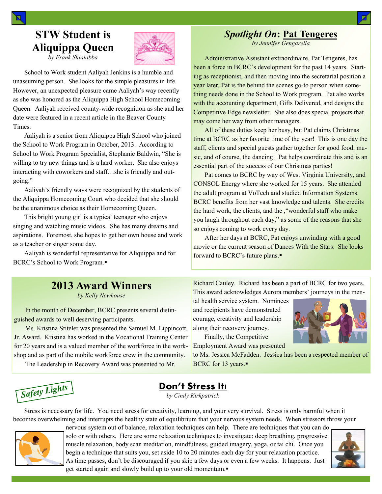### *Spotlight On***: Pat Tengeres**

*by Jennifer Gengarella*

Administrative Assistant extraordinaire, Pat Tengeres, has been a force in BCRC's development for the past 14 years. Starting as receptionist, and then moving into the secretarial position a year later, Pat is the behind the scenes go-to person when something needs done in the School to Work program. Pat also works with the accounting department, Gifts Delivered, and designs the Competitive Edge newsletter. She also does special projects that may come her way from other managers.

All of these duties keep her busy, but Pat claims Christmas time at BCRC as her favorite time of the year! This is one day the staff, clients and special guests gather together for good food, music, and of course, the dancing! Pat helps coordinate this and is an essential part of the success of our Christmas parties!

Pat comes to BCRC by way of West Virginia University, and CONSOL Energy where she worked for 15 years. She attended the adult program at VoTech and studied Information Systems. BCRC benefits from her vast knowledge and talents. She credits the hard work, the clients, and the ,"wonderful staff who make you laugh throughout each day," as some of the reasons that she so enjoys coming to work every day.

After her days at BCRC, Pat enjoys unwinding with a good movie or the current season of Dances With the Stars. She looks forward to BCRC's future plans.

Richard Cauley. Richard has been a part of BCRC for two years. This award acknowledges Aurora members' journeys in the men-

tal health service system. Nominees and recipients have demonstrated courage, creativity and leadership along their recovery journey. Finally, the Competitive

Employment Award was presented

to Ms. Jessica McFadden. Jessica has been a respected member of

## **STW Student is Aliquippa Queen**

*by Frank Shialabba*

School to Work student Aaliyah Jenkins is a humble and unassuming person. She looks for the simple pleasures in life. However, an unexpected pleasure came Aaliyah's way recently as she was honored as the Aliquippa High School Homecoming Queen. Aaliyah received county-wide recognition as she and her date were featured in a recent article in the Beaver County Times.

Aaliyah is a senior from Aliquippa High School who joined the School to Work Program in October, 2013. According to School to Work Program Specialist, Stephanie Baldwin, "She is willing to try new things and is a hard worker. She also enjoys interacting with coworkers and staff…she is friendly and outgoing."

Aaliyah's friendly ways were recognized by the students of the Aliquippa Homecoming Court who decided that she should be the unanimous choice as their Homecoming Queen.

This bright young girl is a typical teenager who enjoys singing and watching music videos. She has many dreams and aspirations. Foremost, she hopes to get her own house and work as a teacher or singer some day.

Aaliyah is wonderful representative for Aliquippa and for BCRC's School to Work Program.

### **2013 Award Winners**

*by Kelly Newhouse*

In the month of December, BCRC presents several distinguished awards to well deserving participants.

Ms. Kristina Stiteler was presented the Samuel M. Lippincott, Jr. Award. Kristina has worked in the Vocational Training Center for 20 years and is a valued member of the workforce in the workshop and as part of the mobile workforce crew in the community.

The Leadership in Recovery Award was presented to Mr.



#### **Don't Stress It!**

*by Cindy Kirkpatrick*

Stress is necessary for life. You need stress for creativity, learning, and your very survival. Stress is only harmful when it becomes overwhelming and interrupts the healthy state of equilibrium that your nervous system needs. When stressors throw your nervous system out of balance, relaxation techniques can help. There are techniques that you can do



solo or with others. Here are some relaxation techniques to investigate: deep breathing, progressive muscle relaxation, body scan meditation, mindfulness, guided imagery, yoga, or tai chi. Once you begin a technique that suits you, set aside 10 to 20 minutes each day for your relaxation practice. As time passes, don't be discouraged if you skip a few days or even a few weeks. It happens. Just get started again and slowly build up to your old momentum.





BCRC for 13 years.